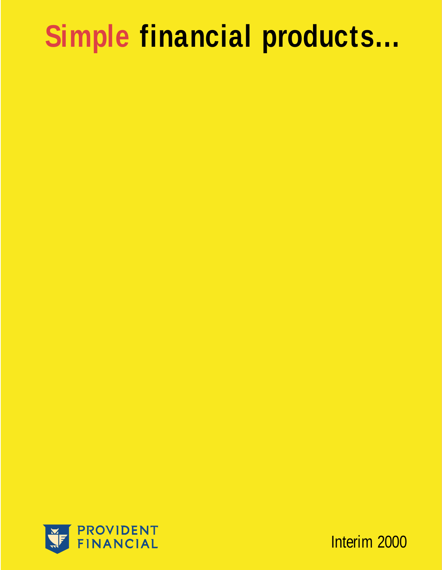## **Simple financial products…**



Interim 2000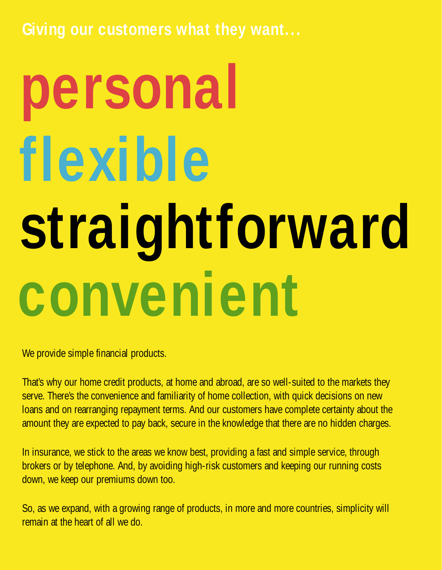**Giving our customers what they want...**

# **personal flexible straightforward convenient**

We provide simple financial products.

That's why our home credit products, at home and abroad, are so well-suited to the markets they serve. There's the convenience and familiarity of home collection, with quick decisions on new loans and on rearranging repayment terms. And our customers have complete certainty about the amount they are expected to pay back, secure in the knowledge that there are no hidden charges.

In insurance, we stick to the areas we know best, providing a fast and simple service, through brokers or by telephone. And, by avoiding high-risk customers and keeping our running costs down, we keep our premiums down too.

So, as we expand, with a growing range of products, in more and more countries, simplicity will remain at the heart of all we do.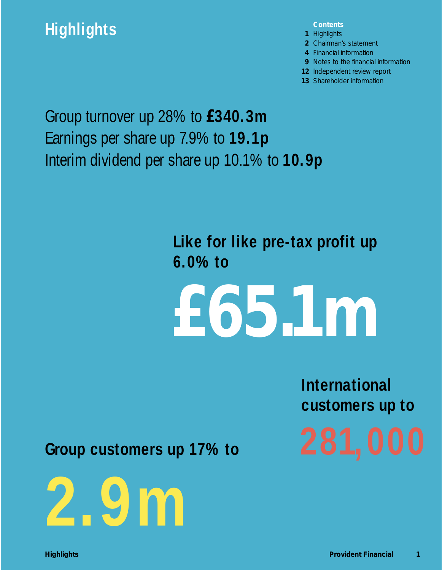## **Highlights**

**Contents**

- **1** Highlights
- **2** Chairman's statement
- **4** Financial information
- **9** Notes to the financial information
- **12** Independent review report
- **13** Shareholder information

Group turnover up 28% to **£340.3m** Earnings per share up 7.9% to **19.1p** Interim dividend per share up 10.1% to **10.9p**

> **Like for like pre-tax profit up 6.0% to**

**£65.1m**

**International customers up to**

**Group customers up 17% to**

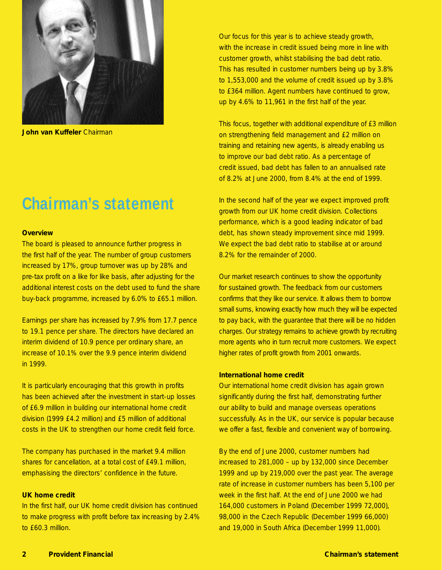

**John van Kuffeler** Chairman

## **Chairman's statement**

#### **Overview**

The board is pleased to announce further progress in the first half of the year. The number of group customers increased by 17%, group turnover was up by 28% and pre-tax profit on a like for like basis, after adjusting for the additional interest costs on the debt used to fund the share buy-back programme, increased by 6.0% to £65.1 million.

Earnings per share has increased by 7.9% from 17.7 pence to 19.1 pence per share. The directors have declared an interim dividend of 10.9 pence per ordinary share, an increase of 10.1% over the 9.9 pence interim dividend in 1999.

It is particularly encouraging that this growth in profits has been achieved after the investment in start-up losses of £6.9 million in building our international home credit division (1999 £4.2 million) and £5 million of additional costs in the UK to strengthen our home credit field force.

The company has purchased in the market 9.4 million shares for cancellation, at a total cost of £49.1 million, emphasising the directors' confidence in the future.

#### **UK home credit**

In the first half, our UK home credit division has continued to make progress with profit before tax increasing by 2.4% to £60.3 million.

Our focus for this year is to achieve steady growth, with the increase in credit issued being more in line with customer growth, whilst stabilising the bad debt ratio. This has resulted in customer numbers being up by 3.8% to 1,553,000 and the volume of credit issued up by 3.8% to £364 million. Agent numbers have continued to grow, up by 4.6% to 11,961 in the first half of the year.

This focus, together with additional expenditure of £3 million on strengthening field management and £2 million on training and retaining new agents, is already enabling us to improve our bad debt ratio. As a percentage of credit issued, bad debt has fallen to an annualised rate of 8.2% at June 2000, from 8.4% at the end of 1999.

In the second half of the year we expect improved profit growth from our UK home credit division. Collections performance, which is a good leading indicator of bad debt, has shown steady improvement since mid 1999. We expect the bad debt ratio to stabilise at or around 8.2% for the remainder of 2000.

Our market research continues to show the opportunity for sustained growth. The feedback from our customers confirms that they like our service. It allows them to borrow small sums, knowing exactly how much they will be expected to pay back, with the guarantee that there will be no hidden charges. Our strategy remains to achieve growth by recruiting more agents who in turn recruit more customers. We expect higher rates of profit growth from 2001 onwards.

#### **International home credit**

Our international home credit division has again grown significantly during the first half, demonstrating further our ability to build and manage overseas operations successfully. As in the UK, our service is popular because we offer a fast, flexible and convenient way of borrowing.

By the end of June 2000, customer numbers had increased to 281,000 – up by 132,000 since December 1999 and up by 219,000 over the past year. The average rate of increase in customer numbers has been 5,100 per week in the first half. At the end of June 2000 we had 164,000 customers in Poland (December 1999 72,000), 98,000 in the Czech Republic (December 1999 66,000) and 19,000 in South Africa (December 1999 11,000).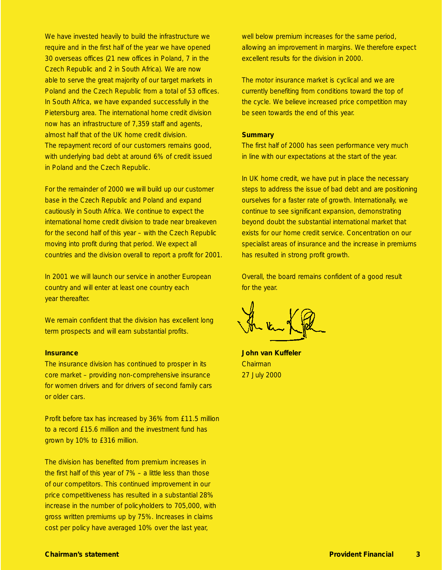We have invested heavily to build the infrastructure we require and in the first half of the year we have opened 30 overseas offices (21 new offices in Poland, 7 in the Czech Republic and 2 in South Africa). We are now able to serve the great majority of our target markets in Poland and the Czech Republic from a total of 53 offices. In South Africa, we have expanded successfully in the Pietersburg area. The international home credit division now has an infrastructure of 7,359 staff and agents, almost half that of the UK home credit division. The repayment record of our customers remains good, with underlying bad debt at around 6% of credit issued in Poland and the Czech Republic.

For the remainder of 2000 we will build up our customer base in the Czech Republic and Poland and expand cautiously in South Africa. We continue to expect the international home credit division to trade near breakeven for the second half of this year – with the Czech Republic moving into profit during that period. We expect all countries and the division overall to report a profit for 2001.

In 2001 we will launch our service in another European country and will enter at least one country each year thereafter.

We remain confident that the division has excellent long term prospects and will earn substantial profits.

#### **Insurance**

The insurance division has continued to prosper in its core market – providing non-comprehensive insurance for women drivers and for drivers of second family cars or older cars.

Profit before tax has increased by 36% from £11.5 million to a record £15.6 million and the investment fund has grown by 10% to £316 million.

The division has benefited from premium increases in the first half of this year of 7% – a little less than those of our competitors. This continued improvement in our price competitiveness has resulted in a substantial 28% increase in the number of policyholders to 705,000, with gross written premiums up by 75%. Increases in claims cost per policy have averaged 10% over the last year,

well below premium increases for the same period, allowing an improvement in margins. We therefore expect excellent results for the division in 2000.

The motor insurance market is cyclical and we are currently benefiting from conditions toward the top of the cycle. We believe increased price competition may be seen towards the end of this year.

#### **Summary**

The first half of 2000 has seen performance very much in line with our expectations at the start of the year.

In UK home credit, we have put in place the necessary steps to address the issue of bad debt and are positioning ourselves for a faster rate of growth. Internationally, we continue to see significant expansion, demonstrating beyond doubt the substantial international market that exists for our home credit service. Concentration on our specialist areas of insurance and the increase in premiums has resulted in strong profit growth.

Overall, the board remains confident of a good result for the year.

**John van Kuffeler** Chairman 27 July 2000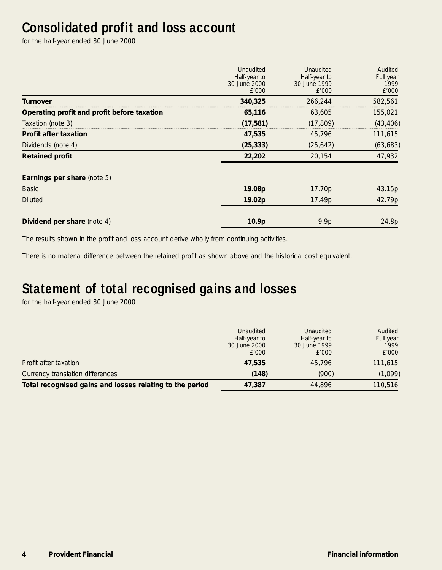## **Consolidated profit and loss account**

for the half-year ended 30 June 2000

|                                             | Unaudited<br>Half-year to<br>30 June 2000<br>£'000 | Unaudited<br>Half-year to<br>30 June 1999<br>£'000 | Audited<br>Full year<br>1999<br>£'000 |
|---------------------------------------------|----------------------------------------------------|----------------------------------------------------|---------------------------------------|
| Turnover                                    | 340,325                                            | 266,244                                            | 582,561                               |
| Operating profit and profit before taxation | 65,116                                             | 63,605                                             | 155,021                               |
| Taxation (note 3)                           | (17, 581)                                          | (17, 809)                                          | (43, 406)                             |
| <b>Profit after taxation</b>                | 47,535                                             | 45,796                                             | 111,615                               |
| Dividends (note 4)                          | (25, 333)                                          | (25, 642)                                          | (63, 683)                             |
| <b>Retained profit</b>                      | 22,202                                             | 20,154                                             | 47,932                                |
| Earnings per share (note 5)                 |                                                    |                                                    |                                       |
| <b>Basic</b>                                | 19.08p                                             | 17.70 <sub>p</sub>                                 | 43.15p                                |
| <b>Diluted</b>                              | 19.02p                                             | 17.49p                                             | 42.79p                                |
| Dividend per share (note 4)                 | 10.9p                                              | 9.9p                                               | 24.8p                                 |

The results shown in the profit and loss account derive wholly from continuing activities.

There is no material difference between the retained profit as shown above and the historical cost equivalent.

## **Statement of total recognised gains and losses**

for the half-year ended 30 June 2000

|                                                          | Unaudited<br>Half-year to<br>30 June 2000<br>E'000 | Unaudited<br>Half-year to<br>30 June 1999<br>E'000 | Audited<br>Full year<br>1999<br>£'000 |
|----------------------------------------------------------|----------------------------------------------------|----------------------------------------------------|---------------------------------------|
| Profit after taxation                                    | 47,535                                             | 45.796                                             | 111,615                               |
| Currency translation differences                         | (148)                                              | (900)                                              | (1,099)                               |
| Total recognised gains and losses relating to the period | 47.387                                             | 44.896                                             | 110,516                               |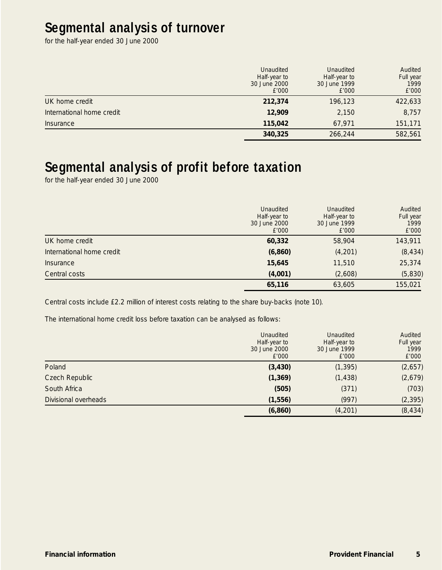## **Segmental analysis of turnover**

for the half-year ended 30 June 2000

|                           | Unaudited<br>Half-year to<br>30 June 2000<br>£'000 | Unaudited<br>Half-year to<br>30 June 1999<br>£'000 | Audited<br>Full year<br>1999<br>£'000 |
|---------------------------|----------------------------------------------------|----------------------------------------------------|---------------------------------------|
| UK home credit            | 212,374                                            | 196.123                                            | 422,633                               |
| International home credit | 12,909                                             | 2,150                                              | 8,757                                 |
| Insurance                 | 115,042                                            | 67.971                                             | 151,171                               |
|                           | 340,325                                            | 266,244                                            | 582,561                               |

## **Segmental analysis of profit before taxation**

for the half-year ended 30 June 2000

|                           | Unaudited<br>Half-year to<br>30 June 2000<br>£'000 | Unaudited<br>Half-year to<br>30 June 1999<br>E'000 | Audited<br>Full year<br>1999<br>£'000 |
|---------------------------|----------------------------------------------------|----------------------------------------------------|---------------------------------------|
| UK home credit            | 60,332                                             | 58,904                                             | 143,911                               |
| International home credit | (6, 860)                                           | (4, 201)                                           | (8, 434)                              |
| Insurance                 | 15,645                                             | 11,510                                             | 25,374                                |
| Central costs             | (4,001)                                            | (2,608)                                            | (5,830)                               |
|                           | 65,116                                             | 63,605                                             | 155,021                               |

Central costs include £2.2 million of interest costs relating to the share buy-backs (note 10).

The international home credit loss before taxation can be analysed as follows:

|                      | Unaudited<br>Half-year to<br>30 June 2000<br>£'000 | <b>Unaudited</b><br>Half-year to<br>30 June 1999<br>E'000 | Audited<br>Full year<br>1999<br>£'000 |
|----------------------|----------------------------------------------------|-----------------------------------------------------------|---------------------------------------|
| Poland               | (3, 430)                                           | (1, 395)                                                  | (2,657)                               |
| Czech Republic       | (1, 369)                                           | (1, 438)                                                  | (2,679)                               |
| South Africa         | (505)                                              | (371)                                                     | (703)                                 |
| Divisional overheads | (1, 556)                                           | (997)                                                     | (2, 395)                              |
|                      | (6, 860)                                           | (4,201)                                                   | (8, 434)                              |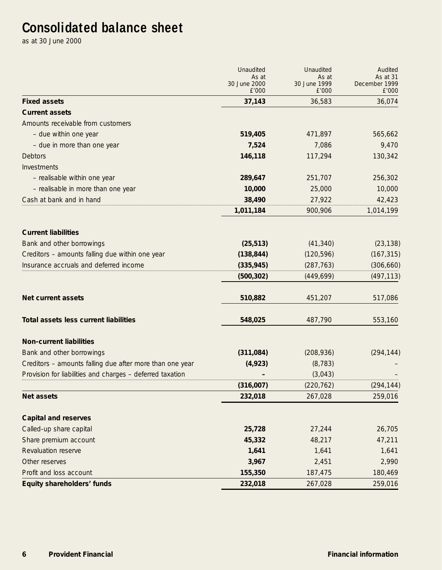## **Consolidated balance sheet**

as at 30 June 2000

|                                                           | Unaudited<br>As at    | Unaudited<br>As at    | Audited<br>As at 31    |
|-----------------------------------------------------------|-----------------------|-----------------------|------------------------|
|                                                           | 30 June 2000<br>£'000 | 30 June 1999<br>£'000 | December 1999<br>£'000 |
| <b>Fixed assets</b>                                       | 37,143                | 36,583                | 36,074                 |
| <b>Current assets</b>                                     |                       |                       |                        |
| Amounts receivable from customers                         |                       |                       |                        |
| - due within one year                                     | 519,405               | 471,897               | 565,662                |
| - due in more than one year                               | 7,524                 | 7,086                 | 9,470                  |
| <b>Debtors</b>                                            | 146,118               | 117,294               | 130,342                |
| Investments                                               |                       |                       |                        |
| - realisable within one year                              | 289,647               | 251,707               | 256,302                |
| - realisable in more than one year                        | 10,000                | 25,000                | 10,000                 |
| Cash at bank and in hand                                  | 38,490                | 27,922                | 42,423                 |
|                                                           | 1,011,184             | 900,906               | 1,014,199              |
| <b>Current liabilities</b>                                |                       |                       |                        |
| Bank and other borrowings                                 | (25, 513)             | (41, 340)             | (23, 138)              |
| Creditors - amounts falling due within one year           | (138, 844)            | (120, 596)            | (167, 315)             |
| Insurance accruals and deferred income                    | (335, 945)            | (287, 763)            | (306, 660)             |
|                                                           | (500, 302)            | (449, 699)            | (497, 113)             |
| <b>Net current assets</b>                                 | 510,882               | 451,207               | 517,086                |
| Total assets less current liabilities                     | 548,025               | 487,790               | 553,160                |
| <b>Non-current liabilities</b>                            |                       |                       |                        |
| Bank and other borrowings                                 | (311,084)             | (208, 936)            | (294, 144)             |
| Creditors - amounts falling due after more than one year  | (4, 923)              | (8, 783)              |                        |
| Provision for liabilities and charges - deferred taxation |                       | (3,043)               |                        |
|                                                           | (316,007)             | (220, 762)            | (294, 144)             |
| <b>Net assets</b>                                         | 232,018               | 267,028               | 259,016                |
| <b>Capital and reserves</b>                               |                       |                       |                        |
| Called-up share capital                                   | 25,728                | 27,244                | 26,705                 |
| Share premium account                                     | 45,332                | 48,217                | 47,211                 |
| Revaluation reserve                                       | 1,641                 | 1,641                 | 1,641                  |
| Other reserves                                            | 3,967                 | 2,451                 | 2,990                  |
| Profit and loss account                                   | 155,350               | 187,475               | 180,469                |
| Equity shareholders' funds                                | 232,018               | 267,028               | 259,016                |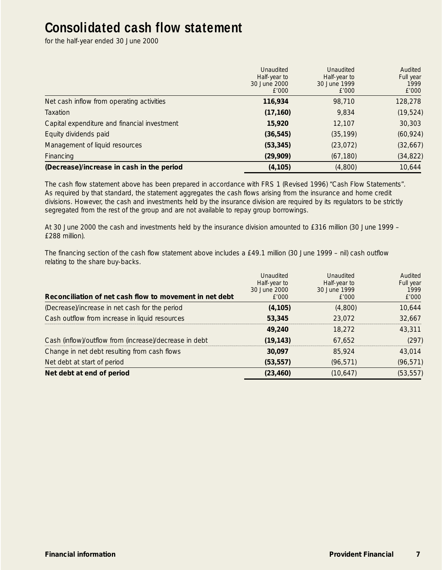## **Consolidated cash flow statement**

for the half-year ended 30 June 2000

|                                              | Unaudited<br>Half-year to<br>30 June 2000<br>£'000 | Unaudited<br>Half-year to<br>30 June 1999<br>£'000 | Audited<br>Full year<br>1999<br>£'000 |
|----------------------------------------------|----------------------------------------------------|----------------------------------------------------|---------------------------------------|
| Net cash inflow from operating activities    | 116,934                                            | 98,710                                             | 128,278                               |
| <b>Taxation</b>                              | (17, 160)                                          | 9,834                                              | (19, 524)                             |
| Capital expenditure and financial investment | 15,920                                             | 12,107                                             | 30,303                                |
| Equity dividends paid                        | (36, 545)                                          | (35, 199)                                          | (60, 924)                             |
| Management of liquid resources               | (53, 345)                                          | (23, 072)                                          | (32,667)                              |
| Financing                                    | (29,909)                                           | (67, 180)                                          | (34, 822)                             |
| (Decrease)/increase in cash in the period    | (4, 105)                                           | (4,800)                                            | 10,644                                |

The cash flow statement above has been prepared in accordance with FRS 1 (Revised 1996) "Cash Flow Statements". As required by that standard, the statement aggregates the cash flows arising from the insurance and home credit divisions. However, the cash and investments held by the insurance division are required by its regulators to be strictly segregated from the rest of the group and are not available to repay group borrowings.

At 30 June 2000 the cash and investments held by the insurance division amounted to £316 million (30 June 1999 – £288 million).

The financing section of the cash flow statement above includes a £49.1 million (30 June 1999 – nil) cash outflow relating to the share buy-backs.

| Reconciliation of net cash flow to movement in net debt | Unaudited<br>Half-year to<br>30 June 2000<br>£'000 | Unaudited<br>Half-year to<br>30 June 1999<br>£'000 | Audited<br>Full year<br>1999<br>£'000 |
|---------------------------------------------------------|----------------------------------------------------|----------------------------------------------------|---------------------------------------|
| (Decrease)/increase in net cash for the period          | (4, 105)                                           | (4,800)                                            | 10,644                                |
| Cash outflow from increase in liquid resources          | 53,345                                             | 23.072                                             | 32.667                                |
|                                                         | 49,240                                             | 18.272                                             | 43,311                                |
| Cash (inflow)/outflow from (increase)/decrease in debt  | (19,143)                                           | 67.652                                             | (297)                                 |
| Change in net debt resulting from cash flows            | 30.097                                             | 85.924                                             | 43,014                                |
| Net debt at start of period                             | (53, 557)                                          | (96, 571)                                          | (96, 571)                             |
| Net debt at end of period                               | (23, 460)                                          | (10,647)                                           | (53, 557)                             |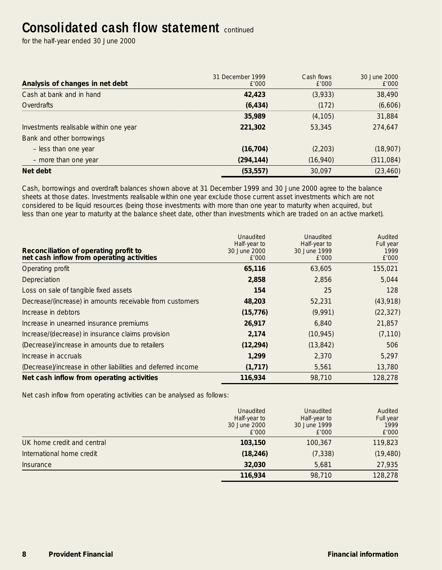## **Consolidated cash flow statement Continued**

for the half-year ended 30 June 2000

| Analysis of changes in net debt        | 31 December 1999<br>£'000 | Cash flows<br>£'000 | 30 June 2000<br>£'000 |
|----------------------------------------|---------------------------|---------------------|-----------------------|
| Cash at bank and in hand               | 42,423                    | (3,933)             | 38,490                |
| Overdrafts                             | (6, 434)                  | (172)               | (6,606)               |
|                                        | 35,989                    | (4, 105)            | 31,884                |
| Investments realisable within one year | 221,302                   | 53,345              | 274,647               |
| Bank and other borrowings              |                           |                     |                       |
| - less than one year                   | (16, 704)                 | (2,203)             | (18,907)              |
| - more than one year                   | (294, 144)                | (16,940)            | (311, 084)            |
| Net debt                               | (53, 557)                 | 30,097              | (23, 460)             |

Cash, borrowings and overdraft balances shown above at 31 December 1999 and 30 June 2000 agree to the balance sheets at those dates. Investments realisable within one year exclude those current asset investments which are not considered to be liquid resources (being those investments with more than one year to maturity when acquired, but less than one year to maturity at the balance sheet date, other than investments which are traded on an active market).

| Reconciliation of operating profit to<br>net cash inflow from operating activities | Unaudited<br>Half-year to<br>30 June 2000<br>E'000 | Unaudited<br>Half-year to<br>30 June 1999<br>£'000 | Audited<br>Full year<br>1999<br>£'000 |
|------------------------------------------------------------------------------------|----------------------------------------------------|----------------------------------------------------|---------------------------------------|
| Operating profit                                                                   | 65,116                                             | 63,605                                             | 155,021                               |
| Depreciation                                                                       | 2,858                                              | 2,856                                              | 5,044                                 |
| Loss on sale of tangible fixed assets                                              | 154                                                | 25                                                 | 128                                   |
| Decrease/(increase) in amounts receivable from customers                           | 48,203                                             | 52,231                                             | (43,918)                              |
| Increase in debtors                                                                | (15, 776)                                          | (9,991)                                            | (22, 327)                             |
| Increase in unearned insurance premiums                                            | 26,917                                             | 6,840                                              | 21,857                                |
| Increase/(decrease) in insurance claims provision                                  | 2,174                                              | (10, 945)                                          | (7, 110)                              |
| (Decrease)/increase in amounts due to retailers                                    | (12, 294)                                          | (13, 842)                                          | 506                                   |
| Increase in accruals                                                               | 1.299                                              | 2,370                                              | 5,297                                 |
| (Decrease)/increase in other liabilities and deferred income                       | (1, 717)                                           | 5,561                                              | 13,780                                |
| Net cash inflow from operating activities                                          | 116,934                                            | 98,710                                             | 128,278                               |

Net cash inflow from operating activities can be analysed as follows:

|                            | Unaudited<br>Half-year to<br>30 June 2000<br>£'000 | Unaudited<br>Half-year to<br>30 June 1999<br>E'000 | Audited<br>Full year<br>1999<br>£'000 |
|----------------------------|----------------------------------------------------|----------------------------------------------------|---------------------------------------|
| UK home credit and central | 103,150                                            | 100.367                                            | 119,823                               |
| International home credit  | (18, 246)                                          | (7, 338)                                           | (19, 480)                             |
| Insurance                  | 32,030                                             | 5.681                                              | 27,935                                |
|                            | 116,934                                            | 98,710                                             | 128,278                               |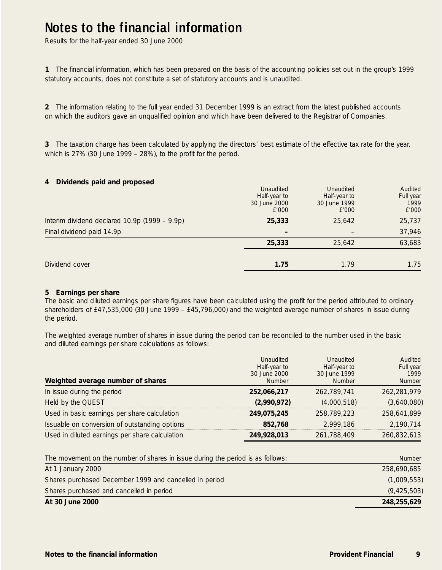## **Notes to the financial information**

Results for the half-year ended 30 June 2000

**1** The financial information, which has been prepared on the basis of the accounting policies set out in the group's 1999 statutory accounts, does not constitute a set of statutory accounts and is unaudited.

**2** The information relating to the full year ended 31 December 1999 is an extract from the latest published accounts on which the auditors gave an unqualified opinion and which have been delivered to the Registrar of Companies.

**3** The taxation charge has been calculated by applying the directors' best estimate of the effective tax rate for the year, which is 27% (30 June 1999 – 28%), to the profit for the period.

#### **4 Dividends paid and proposed**

| Dividend cover                                  | 1.75                                               | 1.79                                               | 1.75                                  |
|-------------------------------------------------|----------------------------------------------------|----------------------------------------------------|---------------------------------------|
|                                                 | 25,333                                             | 25,642                                             | 63,683                                |
| Final dividend paid 14.9p                       |                                                    |                                                    | 37,946                                |
| Interim dividend declared $10.9p$ (1999 – 9.9p) | 25,333                                             | 25,642                                             | 25,737                                |
|                                                 | Unaudited<br>Half-year to<br>30 June 2000<br>£'000 | Unaudited<br>Half-year to<br>30 June 1999<br>£'000 | Audited<br>Full year<br>1999<br>£'000 |

#### **5 Earnings per share**

The basic and diluted earnings per share figures have been calculated using the profit for the period attributed to ordinary shareholders of £47,535,000 (30 June 1999 – £45,796,000) and the weighted average number of shares in issue during the period.

The weighted average number of shares in issue during the period can be reconciled to the number used in the basic and diluted earnings per share calculations as follows:

| Weighted average number of shares              | Unaudited<br>Half-year to<br>30 June 2000<br>Number | Unaudited<br>Half-year to<br>30 June 1999<br><b>Number</b> | Audited<br>Full year<br>1999<br>Number |
|------------------------------------------------|-----------------------------------------------------|------------------------------------------------------------|----------------------------------------|
| In issue during the period                     | 252,066,217                                         | 262,789,741                                                | 262,281,979                            |
| Held by the QUEST                              | (2,990,972)                                         | (4,000,518)                                                | (3,640,080)                            |
| Used in basic earnings per share calculation   | 249.075.245                                         | 258,789,223                                                | 258.641.899                            |
| Issuable on conversion of outstanding options  | 852.768                                             | 2.999.186                                                  | 2.190.714                              |
| Used in diluted earnings per share calculation | 249,928,013                                         | 261,788,409                                                | 260,832,613                            |

| The movement on the number of shares in issue during the period is as follows: | <b>Number</b> |
|--------------------------------------------------------------------------------|---------------|
| At 1 January 2000                                                              | 258,690,685   |
| Shares purchased December 1999 and cancelled in period                         | (1,009,553)   |
| Shares purchased and cancelled in period                                       | (9, 425, 503) |
| At 30 June 2000                                                                | 248,255,629   |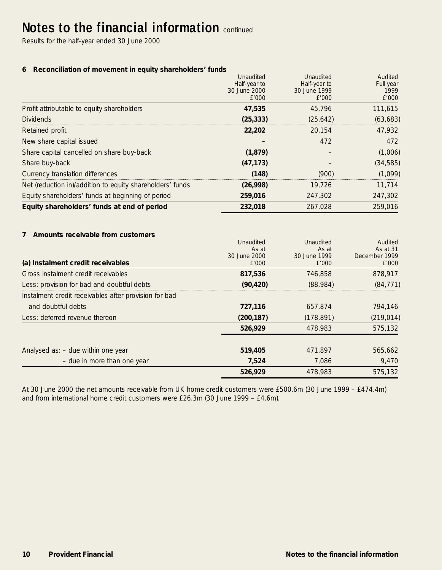## **Notes to the financial information continued**

Results for the half-year ended 30 June 2000

#### **6 Reconciliation of movement in equity shareholders' funds**

|                                                           | Unaudited    | Unaudited    | Audited   |
|-----------------------------------------------------------|--------------|--------------|-----------|
|                                                           | Half-year to | Half-year to | Full year |
|                                                           | 30 June 2000 | 30 June 1999 | 1999      |
|                                                           | £'000        | £'000        | £'000     |
| Profit attributable to equity shareholders                | 47,535       | 45.796       | 111.615   |
| <b>Dividends</b>                                          | (25, 333)    | (25, 642)    | (63, 683) |
| Retained profit                                           | 22,202       | 20.154       | 47.932    |
| New share capital issued                                  |              | 472          | 472       |
| Share capital cancelled on share buy-back                 | (1, 879)     |              | (1,006)   |
| Share buy-back                                            | (47, 173)    |              | (34, 585) |
| Currency translation differences                          | (148)        | (900)        | (1,099)   |
| Net (reduction in)/addition to equity shareholders' funds | (26,998)     | 19.726       | 11,714    |
| Equity shareholders' funds at beginning of period         | 259,016      | 247,302      | 247,302   |
| Equity shareholders' funds at end of period               | 232,018      | 267.028      | 259,016   |

#### **7 Amounts receivable from customers**

|                                                       | Unaudited    | Unaudited    | Audited       |
|-------------------------------------------------------|--------------|--------------|---------------|
|                                                       | As at        | As at        | As at 31      |
|                                                       | 30 June 2000 | 30 June 1999 | December 1999 |
| (a) Instalment credit receivables                     | E'000        | £'000        | £'000         |
| Gross instalment credit receivables                   | 817,536      | 746.858      | 878,917       |
| Less: provision for bad and doubtful debts            | (90, 420)    | (88,984)     | (84, 771)     |
| Instalment credit receivables after provision for bad |              |              |               |
| and doubtful debts                                    | 727,116      | 657,874      | 794,146       |
| Less: deferred revenue thereon                        | (200, 187)   | (178, 891)   | (219, 014)    |
|                                                       | 526.929      | 478,983      | 575,132       |
|                                                       |              |              |               |
| Analysed as: - due within one year                    | 519,405      | 471,897      | 565,662       |
| - due in more than one year                           | 7.524        | 7.086        | 9,470         |
|                                                       | 526,929      | 478,983      | 575,132       |

At 30 June 2000 the net amounts receivable from UK home credit customers were £500.6m (30 June 1999 – £474.4m) and from international home credit customers were £26.3m (30 June 1999 – £4.6m).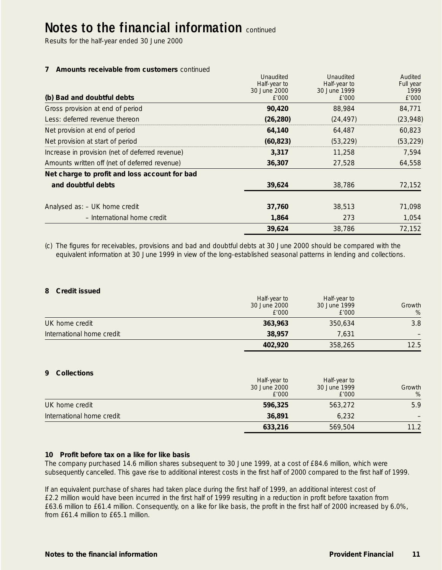## **Notes to the financial information continued**

Results for the half-year ended 30 June 2000

#### **7 Amounts receivable from customers** continued

|                                                 | Unaudited    | Unaudited    | Audited   |
|-------------------------------------------------|--------------|--------------|-----------|
|                                                 | Half-year to | Half-year to | Full year |
|                                                 | 30 June 2000 | 30 June 1999 | 1999      |
| (b) Bad and doubtful debts                      | £'000        | E'000        | £'000     |
| Gross provision at end of period                | 90,420       | 88,984       | 84,771    |
| Less: deferred revenue thereon                  | (26, 280)    | (24, 497)    | (23, 948) |
| Net provision at end of period                  | 64,140       | 64.487       | 60,823    |
| Net provision at start of period                | (60, 823)    | (53, 229)    | (53, 229) |
| Increase in provision (net of deferred revenue) | 3,317        | 11,258       | 7,594     |
| Amounts written off (net of deferred revenue)   | 36,307       | 27.528       | 64,558    |
| Net charge to profit and loss account for bad   |              |              |           |
| and doubtful debts                              | 39,624       | 38,786       | 72,152    |
| Analysed as: - UK home credit                   | 37,760       | 38.513       | 71,098    |
| - International home credit                     | 1,864        | 273          | 1,054     |
|                                                 | 39,624       | 38.786       | 72.152    |

(c) The figures for receivables, provisions and bad and doubtful debts at 30 June 2000 should be compared with the equivalent information at 30 June 1999 in view of the long-established seasonal patterns in lending and collections.

#### **8 Credit issued**

|                           | Half-year to<br>30 June 2000<br>£'000 | Half-year to<br>30 June 1999<br>E'000 | Growth<br>% |
|---------------------------|---------------------------------------|---------------------------------------|-------------|
| UK home credit            | 363,963                               | 350.634                               | 3.8         |
| International home credit | 38,957                                | 7.631                                 |             |
|                           | 402,920                               | 358,265                               | 12.5        |

#### **9 Collections**

|                           | Half-year to<br>30 June 2000<br>£'000 | Half-year to<br>30 June 1999<br>£'000 | Growth<br>% |
|---------------------------|---------------------------------------|---------------------------------------|-------------|
| UK home credit            | 596.325                               | 563.272                               | 5.9         |
| International home credit | 36,891                                | 6.232                                 |             |
|                           | 633,216                               | 569,504                               | 11.2        |

#### **10 Profit before tax on a like for like basis**

The company purchased 14.6 million shares subsequent to 30 June 1999, at a cost of £84.6 million, which were subsequently cancelled. This gave rise to additional interest costs in the first half of 2000 compared to the first half of 1999.

If an equivalent purchase of shares had taken place during the first half of 1999, an additional interest cost of £2.2 million would have been incurred in the first half of 1999 resulting in a reduction in profit before taxation from £63.6 million to £61.4 million. Consequently, on a like for like basis, the profit in the first half of 2000 increased by 6.0%, from £61.4 million to £65.1 million.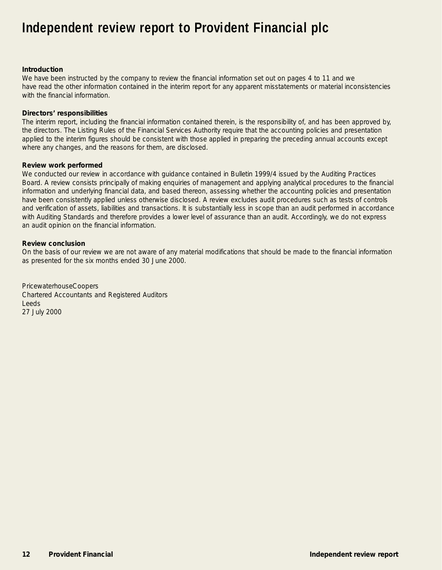## **Independent review report to Provident Financial plc**

#### **Introduction**

We have been instructed by the company to review the financial information set out on pages 4 to 11 and we have read the other information contained in the interim report for any apparent misstatements or material inconsistencies with the financial information.

#### **Directors' responsibilities**

The interim report, including the financial information contained therein, is the responsibility of, and has been approved by, the directors. The Listing Rules of the Financial Services Authority require that the accounting policies and presentation applied to the interim figures should be consistent with those applied in preparing the preceding annual accounts except where any changes, and the reasons for them, are disclosed.

#### **Review work performed**

We conducted our review in accordance with guidance contained in Bulletin 1999/4 issued by the Auditing Practices Board. A review consists principally of making enquiries of management and applying analytical procedures to the financial information and underlying financial data, and based thereon, assessing whether the accounting policies and presentation have been consistently applied unless otherwise disclosed. A review excludes audit procedures such as tests of controls and verification of assets, liabilities and transactions. It is substantially less in scope than an audit performed in accordance with Auditing Standards and therefore provides a lower level of assurance than an audit. Accordingly, we do not express an audit opinion on the financial information.

#### **Review conclusion**

On the basis of our review we are not aware of any material modifications that should be made to the financial information as presented for the six months ended 30 June 2000.

PricewaterhouseCoopers Chartered Accountants and Registered Auditors Leeds 27 July 2000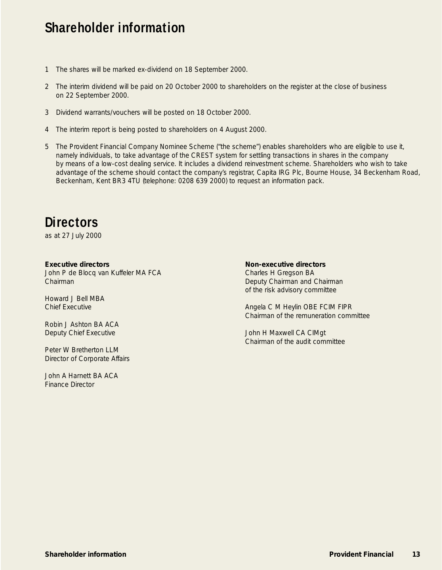## **Shareholder information**

- 1 The shares will be marked ex-dividend on 18 September 2000.
- 2 The interim dividend will be paid on 20 October 2000 to shareholders on the register at the close of business on 22 September 2000.
- 3 Dividend warrants/vouchers will be posted on 18 October 2000.
- 4 The interim report is being posted to shareholders on 4 August 2000.
- 5 The Provident Financial Company Nominee Scheme ("the scheme") enables shareholders who are eligible to use it, namely individuals, to take advantage of the CREST system for settling transactions in shares in the company by means of a low-cost dealing service. It includes a dividend reinvestment scheme. Shareholders who wish to take advantage of the scheme should contact the company's registrar, Capita IRG Plc, Bourne House, 34 Beckenham Road, Beckenham, Kent BR3 4TU (telephone: 0208 639 2000) to request an information pack.

## **Directors**

as at 27 July 2000

#### **Executive directors**

John P de Blocq van Kuffeler MA FCA Chairman

Howard J Bell MBA Chief Executive

Robin J Ashton BA ACA Deputy Chief Executive

Peter W Bretherton LLM Director of Corporate Affairs

John A Harnett BA ACA Finance Director

#### **Non-executive directors**

Charles H Gregson BA Deputy Chairman and Chairman of the risk advisory committee

Angela C M Heylin OBE FCIM FIPR Chairman of the remuneration committee

John H Maxwell CA CIMgt Chairman of the audit committee